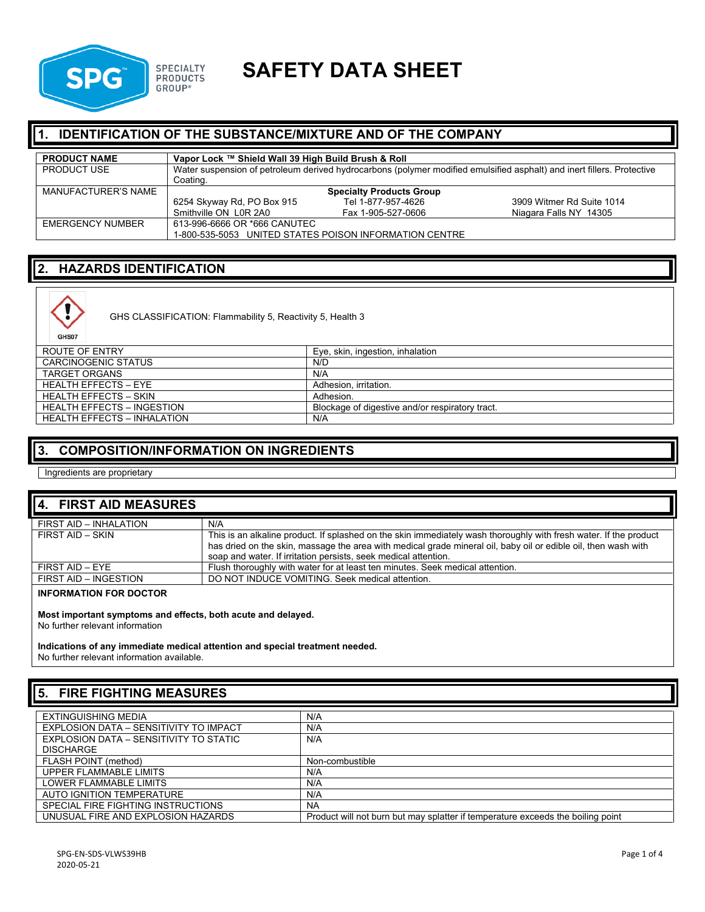

# **SPG SPECIALTY SAFETY DATA SHEET**

## **1. IDENTIFICATION OF THE SUBSTANCE/MIXTURE AND OF THE COMPANY**

| <b>PRODUCT NAME</b> | Vapor Lock ™ Shield Wall 39 High Build Brush & Roll                                                                                |                    |                           |
|---------------------|------------------------------------------------------------------------------------------------------------------------------------|--------------------|---------------------------|
| <b>PRODUCT USE</b>  | Water suspension of petroleum derived hydrocarbons (polymer modified emulsified asphalt) and inert fillers. Protective<br>Coating. |                    |                           |
| MANUFACTURER'S NAME | <b>Specialty Products Group</b>                                                                                                    |                    |                           |
|                     | 6254 Skyway Rd, PO Box 915                                                                                                         | Tel 1-877-957-4626 | 3909 Witmer Rd Suite 1014 |
|                     | Smithville ON LOR 2A0                                                                                                              | Fax 1-905-527-0606 | Niagara Falls NY 14305    |
| EMERGENCY NUMBER    | 613-996-6666 OR *666 CANUTEC                                                                                                       |                    |                           |
|                     | 1-800-535-5053 UNITED STATES POISON INFORMATION CENTRE                                                                             |                    |                           |

### **2. HAZARDS IDENTIFICATION**



GHS CLASSIFICATION: Flammability 5, Reactivity 5, Health 3

| ROUTE OF ENTRY                     | Eye, skin, ingestion, inhalation                |
|------------------------------------|-------------------------------------------------|
| CARCINOGENIC STATUS                | N/D                                             |
| <b>TARGET ORGANS</b>               | N/A                                             |
| HEALTH FFFFCTS - FYF               | Adhesion, irritation,                           |
| <b>HEALTH EFFECTS – SKIN</b>       | Adhesion.                                       |
| <b>HEALTH EFFECTS - INGESTION</b>  | Blockage of digestive and/or respiratory tract. |
| <b>HEALTH EFFECTS - INHALATION</b> | N/A                                             |

#### **3. COMPOSITION/INFORMATION ON INGREDIENTS**

Ingredients are proprietary

| 4. FIRST AID MEASURES         |                                                                                                                                                                                                                                                                                                        |
|-------------------------------|--------------------------------------------------------------------------------------------------------------------------------------------------------------------------------------------------------------------------------------------------------------------------------------------------------|
| FIRST AID - INHALATION        | N/A                                                                                                                                                                                                                                                                                                    |
| FIRST AID - SKIN              | This is an alkaline product. If splashed on the skin immediately wash thoroughly with fresh water. If the product<br>has dried on the skin, massage the area with medical grade mineral oil, baby oil or edible oil, then wash with<br>soap and water. If irritation persists, seek medical attention. |
| FIRST AID - EYE               | Flush thoroughly with water for at least ten minutes. Seek medical attention.                                                                                                                                                                                                                          |
| FIRST AID - INGESTION         | DO NOT INDUCE VOMITING. Seek medical attention.                                                                                                                                                                                                                                                        |
| <b>INFORMATION FOR DOCTOR</b> |                                                                                                                                                                                                                                                                                                        |

**Most important symptoms and effects, both acute and delayed.**

No further relevant information

**Indications of any immediate medical attention and special treatment needed.** No further relevant information available.

## **5. FIRE FIGHTING MEASURES**

| EXTINGUISHING MEDIA                           | N/A                                                                             |
|-----------------------------------------------|---------------------------------------------------------------------------------|
| EXPLOSION DATA - SENSITIVITY TO IMPACT        | N/A                                                                             |
| <b>EXPLOSION DATA - SENSITIVITY TO STATIC</b> | N/A                                                                             |
| <b>DISCHARGE</b>                              |                                                                                 |
| FLASH POINT (method)                          | Non-combustible                                                                 |
| UPPER FLAMMABLE LIMITS                        | N/A                                                                             |
| LOWER FLAMMABLE LIMITS                        | N/A                                                                             |
| AUTO IGNITION TEMPERATURE                     | N/A                                                                             |
| SPECIAL FIRE FIGHTING INSTRUCTIONS            | <b>NA</b>                                                                       |
| UNUSUAL FIRE AND EXPLOSION HAZARDS            | Product will not burn but may splatter if temperature exceeds the boiling point |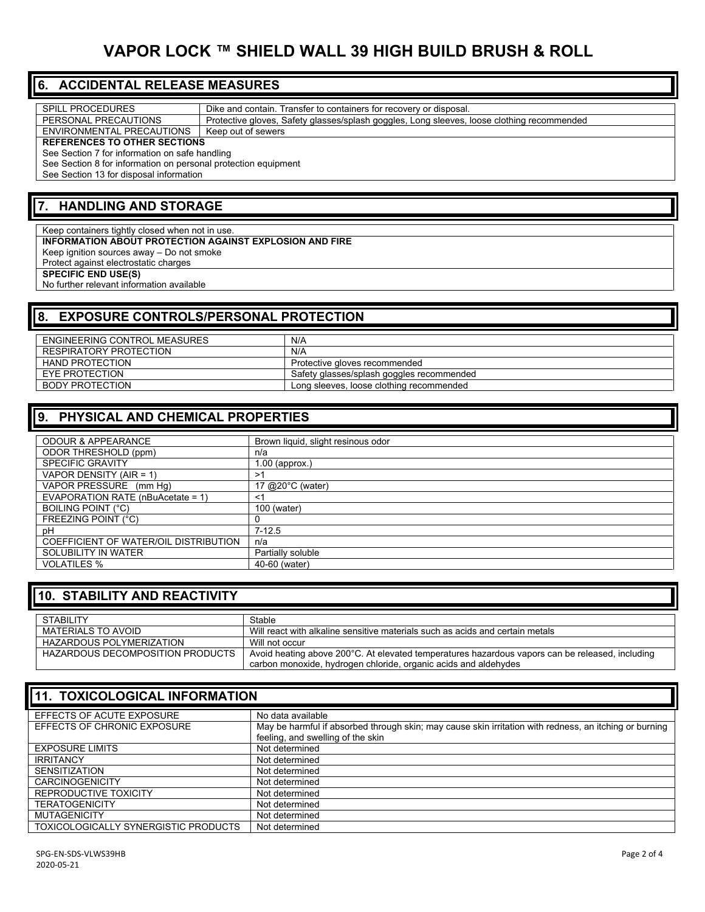# **VAPOR LOCK ™ SHIELD WALL 39 HIGH BUILD BRUSH & ROLL**

#### **6. ACCIDENTAL RELEASE MEASURES**

| <b>SPILL PROCEDURES</b>                                        | Dike and contain. Transfer to containers for recovery or disposal.                         |  |
|----------------------------------------------------------------|--------------------------------------------------------------------------------------------|--|
| PERSONAL PRECAUTIONS                                           | Protective gloves, Safety glasses/splash goggles, Long sleeves, loose clothing recommended |  |
| ENVIRONMENTAL PRECAUTIONS                                      | Keep out of sewers                                                                         |  |
| <b>REFERENCES TO OTHER SECTIONS</b>                            |                                                                                            |  |
| See Section 7 for information on safe handling                 |                                                                                            |  |
| See Section 8 for information on personal protection equipment |                                                                                            |  |
| See Section 13 for disposal information                        |                                                                                            |  |
|                                                                |                                                                                            |  |

#### **7. HANDLING AND STORAGE**

Keep containers tightly closed when not in use. **INFORMATION ABOUT PROTECTION AGAINST EXPLOSION AND FIRE** Keep ignition sources away – Do not smoke Protect against electrostatic charges **SPECIFIC END USE(S)**  No further relevant information available

#### **8. EXPOSURE CONTROLS/PERSONAL PROTECTION** ENGINEERING CONTROL MEASURES N/A RESPIRATORY PROTECTION N/A<br>
HAND PROTECTION Protection HAND PROTECTION PROTECTION PROTECTION PROTECTION PROTECTION PROTECTION PROTECTION EYE PROTECTION Safety glasses/splash goggles recommended<br>BODY PROTECTION Long sleeves, loose clothing recommended Long sleeves, loose clothing recommended

## **9. PHYSICAL AND CHEMICAL PROPERTIES**

| <b>ODOUR &amp; APPEARANCE</b>         | Brown liquid, slight resinous odor |
|---------------------------------------|------------------------------------|
| ODOR THRESHOLD (ppm)                  | n/a                                |
| <b>SPECIFIC GRAVITY</b>               | $1.00$ (approx.)                   |
| VAPOR DENSITY (AIR = 1)               | >1                                 |
| VAPOR PRESSURE (mm Hq)                | 17 @20°C (water)                   |
| EVAPORATION RATE (nBuAcetate = 1)     | ≺1                                 |
| <b>BOILING POINT (°C)</b>             | 100 (water)                        |
| FREEZING POINT (°C)                   |                                    |
| рH                                    | $7 - 12.5$                         |
| COEFFICIENT OF WATER/OIL DISTRIBUTION | n/a                                |
| SOLUBILITY IN WATER                   | Partially soluble                  |
| <b>VOLATILES %</b>                    | 40-60 (water)                      |

#### **10. STABILITY AND REACTIVITY**

| STABILITY                        | Stable                                                                                          |
|----------------------------------|-------------------------------------------------------------------------------------------------|
| MATERIALS TO AVOID               | Will react with alkaline sensitive materials such as acids and certain metals                   |
| HAZARDOUS POLYMERIZATION         | Will not occur                                                                                  |
| HAZARDOUS DECOMPOSITION PRODUCTS | Avoid heating above 200°C. At elevated temperatures hazardous vapors can be released, including |
|                                  | carbon monoxide, hydrogen chloride, organic acids and aldehydes                                 |

| <b>11. TOXICOLOGICAL INFORMATION</b> |                                                                                                                                             |  |
|--------------------------------------|---------------------------------------------------------------------------------------------------------------------------------------------|--|
| EFFECTS OF ACUTE EXPOSURE            | No data available                                                                                                                           |  |
| EFFECTS OF CHRONIC EXPOSURE          | May be harmful if absorbed through skin; may cause skin irritation with redness, an itching or burning<br>feeling, and swelling of the skin |  |
| <b>EXPOSURE LIMITS</b>               | Not determined                                                                                                                              |  |
| <b>IRRITANCY</b>                     | Not determined                                                                                                                              |  |
| <b>SENSITIZATION</b>                 | Not determined                                                                                                                              |  |
| <b>CARCINOGENICITY</b>               | Not determined                                                                                                                              |  |
| REPRODUCTIVE TOXICITY                | Not determined                                                                                                                              |  |
| <b>TERATOGENICITY</b>                | Not determined                                                                                                                              |  |
| <b>MUTAGENICITY</b>                  | Not determined                                                                                                                              |  |
| TOXICOLOGICALLY SYNERGISTIC PRODUCTS | Not determined                                                                                                                              |  |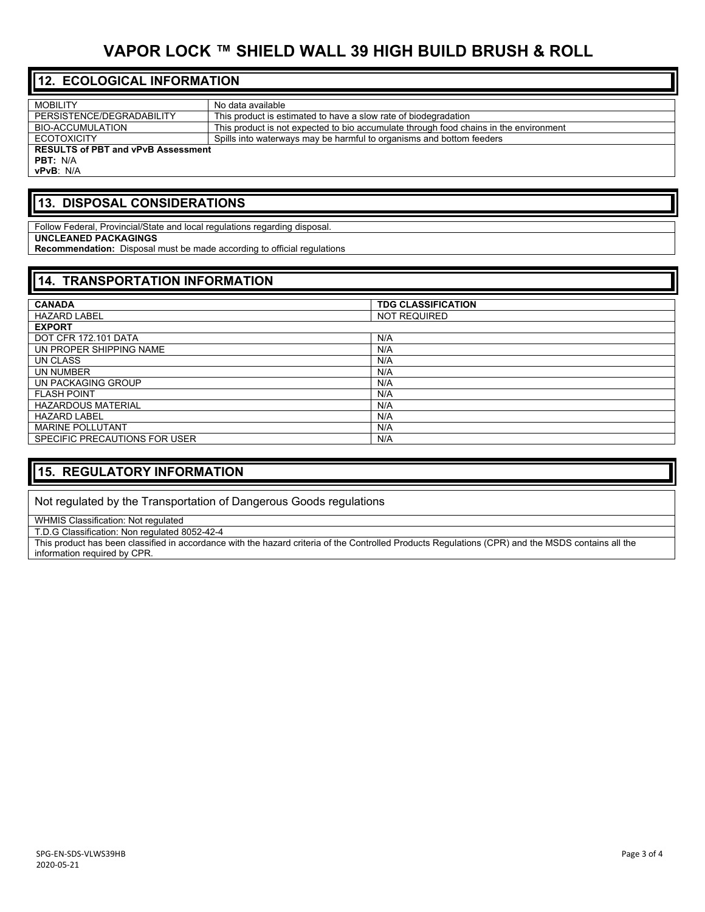# **VAPOR LOCK ™ SHIELD WALL 39 HIGH BUILD BRUSH & ROLL**

## **12. ECOLOGICAL INFORMATION**

| No data available                                                                     |  |  |
|---------------------------------------------------------------------------------------|--|--|
| This product is estimated to have a slow rate of biodegradation                       |  |  |
| This product is not expected to bio accumulate through food chains in the environment |  |  |
| Spills into waterways may be harmful to organisms and bottom feeders                  |  |  |
| <b>RESULTS of PBT and vPvB Assessment</b>                                             |  |  |
|                                                                                       |  |  |
|                                                                                       |  |  |
|                                                                                       |  |  |

#### **13. DISPOSAL CONSIDERATIONS**

Follow Federal, Provincial/State and local regulations regarding disposal. **UNCLEANED PACKAGINGS Recommendation:** Disposal must be made according to official regulations

#### **14. TRANSPORTATION INFORMATION**

| <b>CANADA</b>                 | <b>TDG CLASSIFICATION</b> |
|-------------------------------|---------------------------|
| <b>HAZARD LABEL</b>           | <b>NOT REQUIRED</b>       |
| <b>EXPORT</b>                 |                           |
| DOT CFR 172.101 DATA          | N/A                       |
| UN PROPER SHIPPING NAME       | N/A                       |
| UN CLASS                      | N/A                       |
| UN NUMBER                     | N/A                       |
| UN PACKAGING GROUP            | N/A                       |
| <b>FLASH POINT</b>            | N/A                       |
| <b>HAZARDOUS MATERIAL</b>     | N/A                       |
| <b>HAZARD LABEL</b>           | N/A                       |
| <b>MARINE POLLUTANT</b>       | N/A                       |
| SPECIFIC PRECAUTIONS FOR USER | N/A                       |

### **15. REGULATORY INFORMATION**

Not regulated by the Transportation of Dangerous Goods regulations

WHMIS Classification: Not regulated

T.D.G Classification: Non regulated 8052-42-4

This product has been classified in accordance with the hazard criteria of the Controlled Products Regulations (CPR) and the MSDS contains all the information required by CPR.